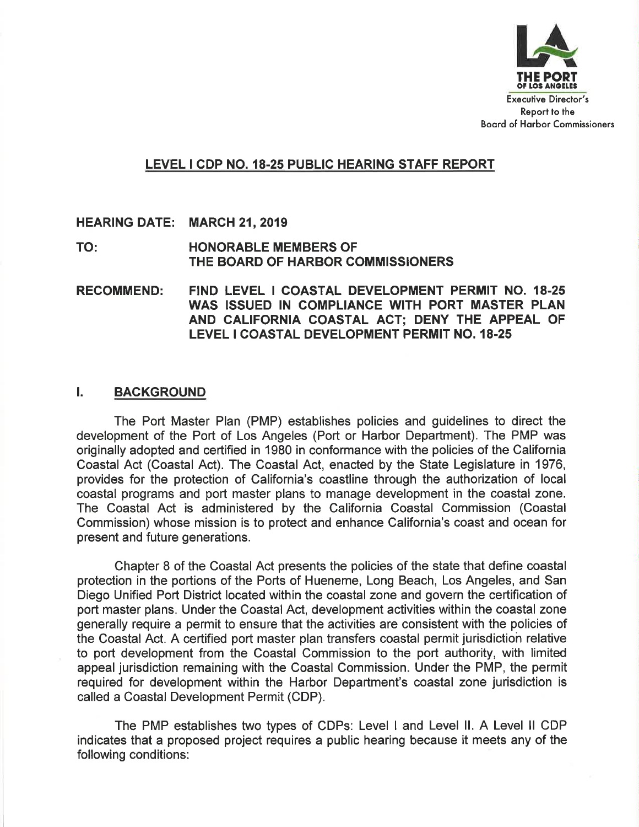

# LEVEL I CDP NO. 18.25 PUBLIC HEARING STAFF REPORT

HEARING DATE: MARCH 21,2019

TO: HONORABLE MEMBERS OF THE BOARD OF HARBOR COMMISSIONERS

RECOMMEND: FIND LEVEL I COASTAL DEVELOPMENT PERMIT NO. 18.25 WAS ISSUED IN COMPLIANCE WITH PORT MASTER PLAN AND CALIFORNIA COASTAL ACT; DENY THE APPEAL OF LEVEL I COASTAL DEVELOPMENT PERMIT NO. 18.25

## I. BACKGROUND

The Port Master Plan (PMP) establishes policies and guidelines to direct the development of the Port of Los Angeles (Port or Harbor Department). The PMP was originally adopted and certified in 1980 in conformance with the policies of the California Coastal Act (Coastal Act). The Coastal Act, enacted by the State Legislature in 1976, provides for the protection of California's coastline through the authorization of local coastal programs and port master plans to manage development in the coastal zone. The Coastal Act is administered by the California Coastal Commission (Coastal Commission) whose mission is to protect and enhance California's coast and ocean for present and future generations.

Chapter 8 of the Coastal Act presents the policies of the state that define coastal protection in the portions of the Ports of Hueneme, Long Beach, Los Angeles, and San Diego Unified Port District located within the coastal zone and govern the certification of port master plans. Under the Coastal Act, development activities within the coastal zone generally require a permit to ensure that the activities are consistent with the policies of the Coastal Act. A certified port master plan transfers coastal permit jurisdictioh relative to port development from the Coastal Commission to the port authority, with limited appeal jurisdiction remaining with the Coastal Commission. Under the PMP, the permit required for development within the Harbor Department's coastal zone jurisdiction is called a Coastal Development Permit (CDP).

The PMP establishes two types of CDPs: Level I and Level ll. A Level ll CDP indicates that a proposed project requires a public hearing because it meets any of the following conditions: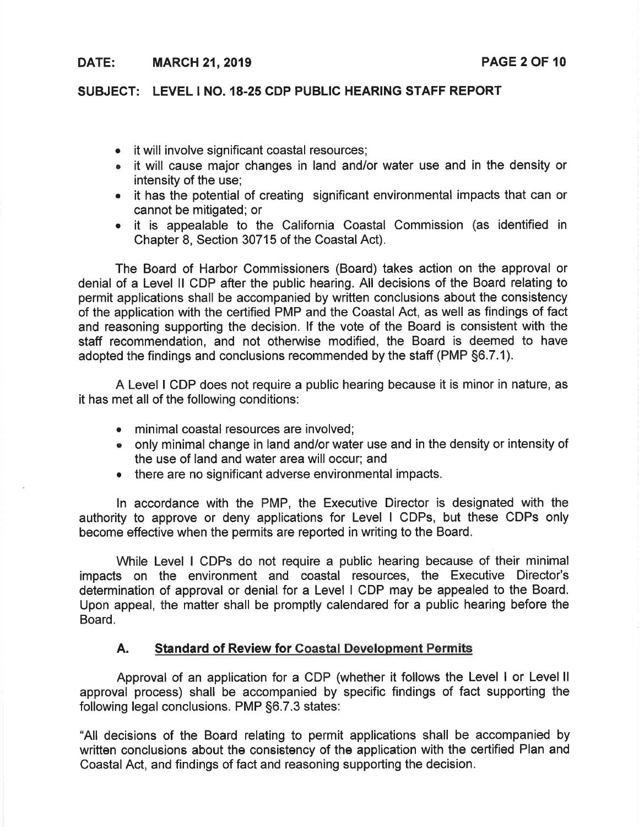#### DATE: MARCH 21,2019 PAGE 2 OF <sup>10</sup>

### SUBJECT: LEVEL I NO. 18-25 CDP PUBLIC HEARING STAFF REPORT

- it will involve significant coastal resources;
- o it will cause major changes in land and/or water use and in the density or intensity of the use;
- it has the potential of creating significant environmental impacts that can or cannot be mitigated; or
- it is appealable to the California Coastal Commission (as identified in Chapter 8, Section 30715 of the Coastal Act).

The Board of Harbor Commissioners (Board) takes action on the approval or denial of a Level ll CDP after the public hearing. All decisions of the Board relating to permit applications shall be accompanied by written conclusions about the consistency of the application with the certified PMP and the Coastal Act, as well as findings of fact and reasoning supporting the decision. lf the vote of the Board is consistent with the staff recommendation, and not othenuise modified, the Board is deemed to have adopted the findings and conclusions recommended by the staff (PMP §6.7.1).

A Level I CDP does not require a public hearing because it is minor in nature, as it has met all of the following conditions:

- minimal coastal resources are involved;
- . only minimal change in land and/or water use and in the density or intensity of the use of land and water area will occur; and
- there are no significant adverse environmental impacts.

In accordance with the PMP, the Executive Director is designated with the authority to approve or deny applications for Level I CDPs, but these CDPs only become effective when the permits are reported in writing to the Board.

While Level I CDPs do not require a public hearing because of their minimal impacts on the environment and coastal resources, the Executive Director's determination of approval or denial for a Level I CDP may be appealed to the Board. Upon appeal, the matter shall be promptly calendared for a public hearing before the Board.

### A. Standard of Review for Coastal Development Permits

Approval of an application for a CDP (whether it follows the Level I or Level ll approval process) shall be accompanied by specific findings of fact supporting the following legal conclusions. PMP §6.7.3 states:

"All decisions of the Board relating to permit applications shall be accompanied by written conclusions about the consistency of the application with the certified Plan and Coastal Act, and findings of fact and reasoning supporting the decision.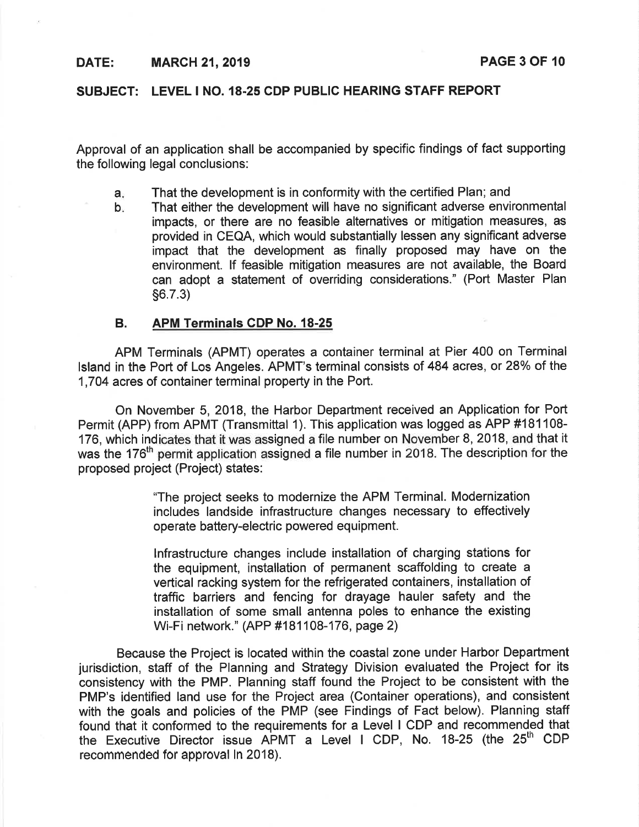### DATE: MARCH 21,2019 PAGE 3 OF <sup>10</sup>

### SUBJECT: LEVEL I NO. 18-25 CDP PUBLIC HEARING STAFF REPORT

Approval of an application shall be accompanied by specific findings of fact supporting the following legal conclusions:

- That the development is in conformity with the certified Plan; and a.
- That either the development will have no significant adverse environmental impacts, or there are no feasible alternatives or mitigation measures, as provided in CEQA, which would substantially lessen any significant adverse impact that the development as finally proposed may have on the environment. lf feasible mitigation measures are not available, the Board can adopt a statement of overriding considerations." (Port Master Plan s6.7.3)  $b_{\cdot}$

#### B. APM Terminals CDP No. 18-25

APM Terminals (APMT) operates a container terminal at Pier 400 on Terminal Island in the Port of Los Angeles. APMT's terminal consists of 484 acres, or 28% of the 1,704 acres of container terminal property in the Port.

On November 5, 2018, the Harbor Department received an Application for Port Permit (APP) from APMT (Transmittal 1). This application was logged as APP #181108- 176, which indicates that it was assigned a file number on November 8, 2018, and that it was the 176<sup>th</sup> permit application assigned a file number in 2018. The description for the proposed project (Project) states:

> "The project seeks to modernize the APM Terminal. Modernization includes landside infrastructure changes necessary to effectively operate battery-electric powered equipment.

> lnfrastructure changes include installation of charging stations for the equipment, installation of permanent scaffolding to create <sup>a</sup> vertical racking system for the refrigerated containers, installation of traffic barriers and fencing for drayage hauler safety and the installation of some small antenna poles to enhance the existing Wi-Fi network." (APP #181108-176, page 2)

Because the Project is located within the coastal zone under Harbor Department jurisdiction, staff of the Planning and Strategy Division evaluated the Project for its consistency with the PMP. Planning staff found the Project to be consistent with the PMP's identified land use for the Project area (Container operations), and consistent with the goals and policies of the PMP (see Findings of Fact below). Planning staff found that it conformed to the requirements for a Level I CDP and recommended that the Executive Director issue APMT a Level I CDP, No.  $18-25$  (the  $25<sup>th</sup>$  CDP recommended for approval ln 2018).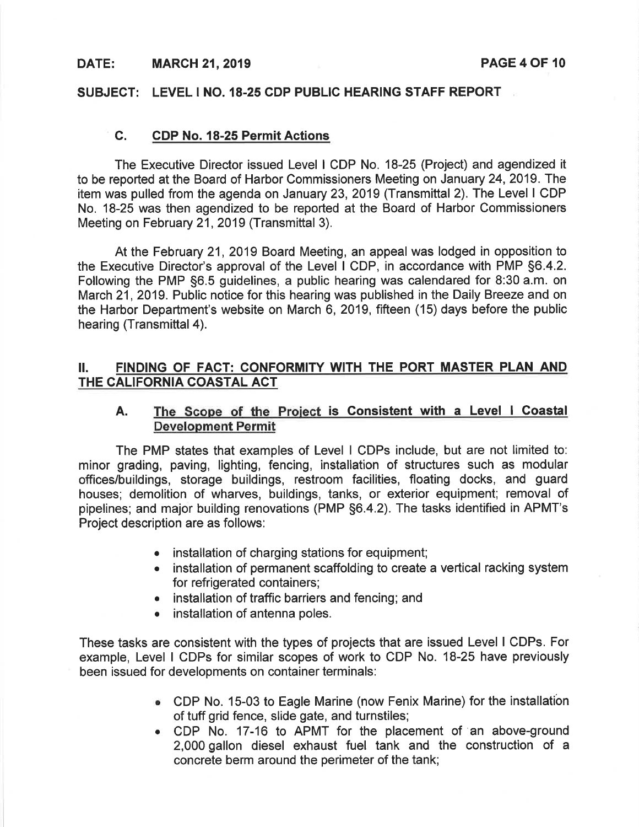#### DATE: MARCH 21,2019 PAGE 4 OF <sup>10</sup>

#### SUBJECT: LEVEL I NO. 18-25 CDP PUBLIC HEARING STAFF REPORT

#### C. GDP No. 18-25 Permit Actions

The Executive Director issued Level I CDP No. 18-25 (Project) and agendized it to be reported at the Board of Harbor Commissioners Meeting on January 24,2019. The item was pulled from the agenda on January 23,2019 (Transmittal 2). The Level I CDP No. 18-25 was then agendized to be reported at the Board of Harbor Commissioners Meeting on February 21, 2019 (Transmittal 3).

At the February 21, 2019 Board Meeting, an appeal was lodged in opposition to the Executive Director's approval of the Level I CDP, in accordance with PMP 56.4.2. Following the PMP \$6.5 guidelines, a public hearing was calendared for 8:30 a.m. on March 21, 2019. Public notice for this hearing was published in the Daily Breeze and on the Harbor Department's website on March 6,2019, fifteen (15) days before the public hearing (Transmittal 4).

## ll. FINDING OF FACT: CONFORMITY WITH THE PORT MASTER PLAN AND THE CALIFORNIA COASTAL ACT

## A. The Scope of the Project is Consistent with a Level I Coastal Development Permit

The PMP states that examples of Level I CDPs include, but are not limited to: minor grading, paving, lighting, fencing, installation of structures such as modular offices/buildings, storage buildings, restroom facilities, floating docks, and guard houses; demolition of wharves, buildings, tanks, or exterior equipment; removal of pipelines; and major building renovations (PMP S6.4.2). The tasks identified in APMT's Project description are as follows:

- installation of charging stations for equipment;
- installation of permanent scaffolding to create a vertical racking system for refrigerated containers;
- installation of traffic barriers and fencing; and
- . installation of antenna poles.

These tasks are consistent with the types of projects that are issued Level I CDPs. For example, Level I CDPs for similar scopes of work to CDP No. 18-25 have previously been issued for developments on container terminals:

- CDP No. 15-03 to Eagle Marine (now Fenix Marine) for the installation of tuff grid fence, slide gate, and turnstiles;
- CDP No. 17-16 to APMT for the placement of an above-ground 2,000 gallon diesel exhaust fuel tank and the construction of <sup>a</sup> concrete berm around the perimeter of the tank;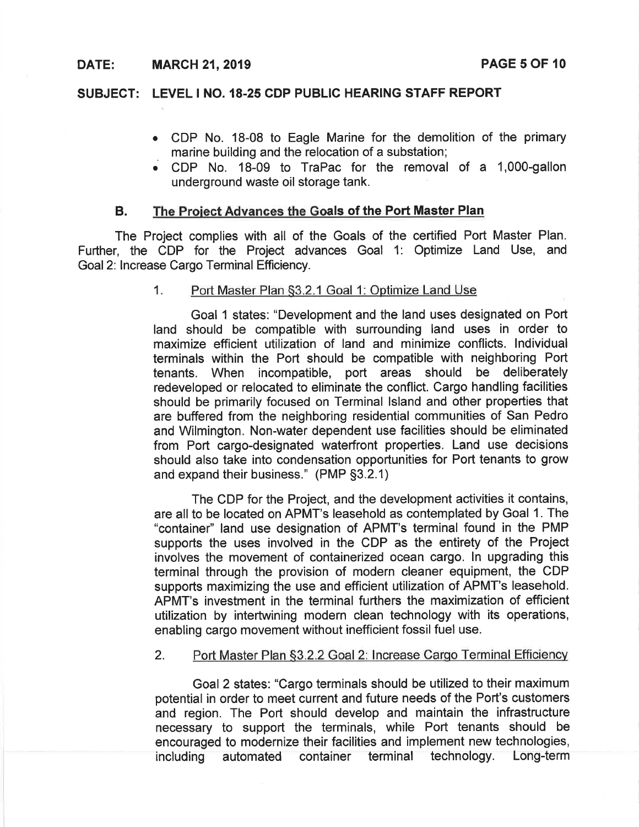### DATE: MARCH 21,2019 PAGE 5 OF <sup>10</sup>

# SUBJECT: LEVEL I NO. 18-25 CDP PUBLIC HEARING STAFF REPORT

- CDP No. 18-08 to Eagle Marine for the demolition of the primary marine building and the relocation of a substation;
- CDP No. 18-09 to TraPac for the removal of a 1,000-gallor underground waste oil storage tank.

#### B. The Proiect Advances the Goals of the Port Master Plan

The Project complies with all of the Goals of the certified Port Master Plan. Further, the CDP for the Project advances Goal 1: Optimize Land Use, and Goal2: lncrease Cargo Terminal Efficiency.

#### 1. Port Master Plan \$3.2.1 Goal 1: Optimize Land Use

Goal 1 states: "Development and the land uses designated on Port land should be compatible with surrounding land uses in order to maximize efficient utilization of land and minimize conflicts, lndividual terminals within the Port should be compatible with neighboring Port tenants. When incompatible, port areas should be deliberately redeveloped or relocated to eliminate the conflict. Cargo handling facilities should be primarily focused on Terminal lsland and other properties that are buffered from the neighboring residential communities of San Pedro and Wilmington. Non-water dependent use facilities should be eliminated from Port cargo-designated waterfront properties. Land use decisions should also take into condensation opportunities for Port tenants to grow and expand their business." (PMP S3.2.1)

The CDP for the Project, and the development activities it contains, are all to be located on APMT's leasehold as contemplated by Goal 1. The "container" land use designation of APMT's terminal found in the PMP supports the uses involved in the CDP as the entirety of the Project involves the movement of containerized ocean cargo. ln upgrading this terminal through the provision of modern cleaner equipment, the CDP supports maximizing the use and efficient utilization of APMT's leasehold. APMT's investment in the terminal furthers the maximization of efficient utilization by intertwining modern clean technology with its operations, enabling cargo movement without inefficient fossil fuel use.

#### 2. Port Master Plan §3.2.2 Goal 2: Increase Cargo Terminal Efficiency

Goal2 states: "Cargo terminals should be utilized to their maximum potential in order to meet current and future needs of the Port's customers and region. The Port should develop and maintain the infrastructure necessary to support the terminals, while Port tenants should be encouraged to modernize their facilities and implement new technologies, including automated container terminal technology. Long-term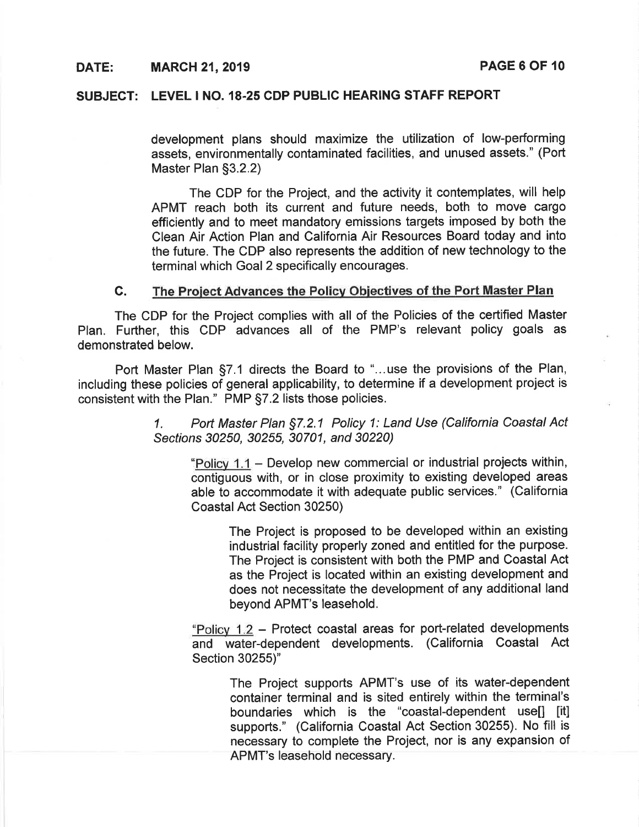## DATE: MARCH 21, 2019 **PAGE 6 OF 10**

## SUBJECT: LEVEL I NO. 18-25 CDP PUBLIC HEARING STAFF REPORT

development plans should maximize the utilization of low-performing assets, environmentally contaminated facilities, and unused assets." (Port Master Plan \$3.2.2)

The CDP for the Project, and the activity it contemplates, will help APMT reach both its current and future needs, both to move cargo efficiently and to meet mandatory emissions targets imposed by both the Clean Air Action Plan and California Air Resources Board today and into the future. The CDP also represents the addition of new technology to the terminal which Goal 2 specifically encourages.

#### C. The Proiect Advances the Policv Obiectives of the Port Master Plan

The CDP for the Project complies with all of the Policies of the certified Master Plan. Further, this CDP advances all of the PMP's relevant policy goals as demonstrated below.

Port Master Plan \$7.1 directs the Board to "...use the provisions of the Plan, including these policies of general applicability, to determine if a development project is consistent with the Plan." PMP S7.2 lists those policies.

> 1. Port Master Plan 57.2.1 Policy 1: Land Use (California Coastal Act Secfions 30250, 30255, 30701, and 30220)

"Policy 1.1 - Develop new commercial or industrial projects within, contiguous with, or in close proximity to existing developed areas able to accommodate it with adequate public services." (California Coastal Act Section 30250)

The Project is proposed to be developed within an existing industrial facility properly zoned and entitled for the purpose. The Project is consistent with both the PMP and Coastal Act as the Project is located within an existing development and does not necessitate the development of any additional land beyond APMT's leasehold.

"Policy 1.2 - Protect coastal areas for port-related developments and water-dependent developments. (California Coastal Act Section 30255)'

The Project supports APMT's use of its water-dependent container terminal and is sited entirely within the terminal's boundaries which is the "coastal-dependent use[] [it] supports." (California Coastal Act Section 30255). No fill is necessary to complete the Project, nor is any expansion of APMT's leasehold necessary.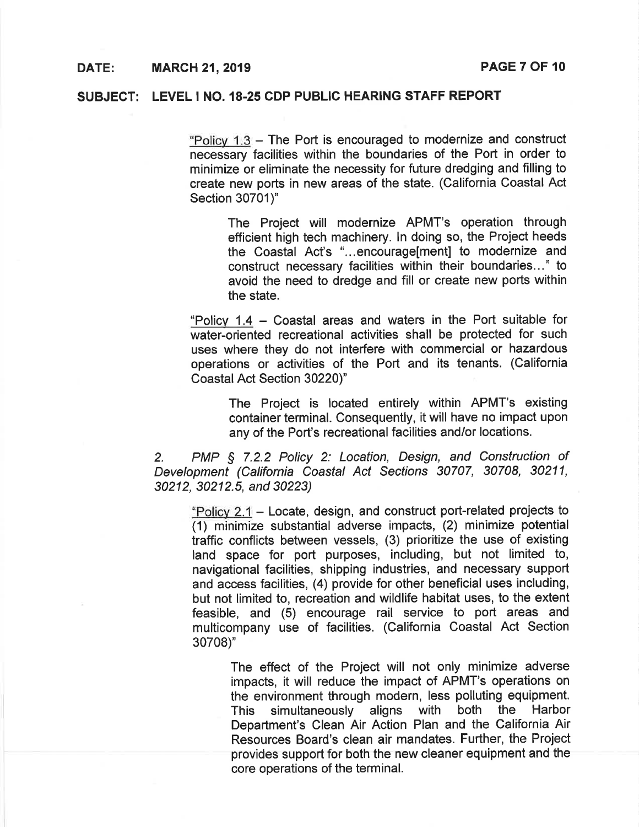#### DATE: MARCH 21,2019

## SUBJECT: LEVEL I NO. 18-25 CDP PUBLIC HEARING STAFF REPORT

"Policy 1.3 - The Port is encouraged to modernize and construct necessary facilities within the boundaries of the Port in order to minimize or eliminate the necessity for future dredging and filling to create new ports in new areas of the state. (California Coastal Act Section 30701)'

The Project will modernize APMT's operation through efficient high tech machinery. ln doing so, the Project heeds the Coastal Act's "...encourage[ment] to modernize and construct necessary facilities within their boundaries..." to avoid the need to dredge and fill or create new ports within the state.

"Policv 1.4 - Coastal areas and waters in the Port suitable for water-oriented recreational activities shall be protected for such uses where they do not interfere with commercial or hazardous operations or activities of the Port and its tenants, (California Coastal Act Section 30220)"

The Project is located entirely within APMT's existing container terminal. Consequently, it will have no impact upon any of the Port's recreational facilities and/or locations.

2. PMP § 7.2.2 Policy 2: Location, Design, and Construction of Development (California Coastal Acf Secfions 30707, 30708, 30211, 30212, 30212.5, and 30223)

"Policy 2.1 - Locate, design, and construct port-related projects to (1) minimize substantial adverse impacts, (2) minimize potential traffic conflicts between vessels, (3) prioritize the use of existing land space for port purposes, including, but not limited to, navigational facilities, shipping industries, and necessary support and access facilities, (4) provide for other beneficial uses including, but not limited to, recreation and wildlife habitat uses, to the extent feasible, and (5) encourage rail service to port areas and multicompany use of facilities. (California Coastal Act Section 30708)"

The effect of the Project will not only minimize adverse impacts, it will reduce the impact of APMT's operations on the environment through modern, less polluting equipment. This simultaneously aligns with both the Harbor Department's Clean Air Action Plan and the California Air Resources Board's clean air mandates. Further, the Project provides support for both the new cleaner equipment and the core operations of the terminal.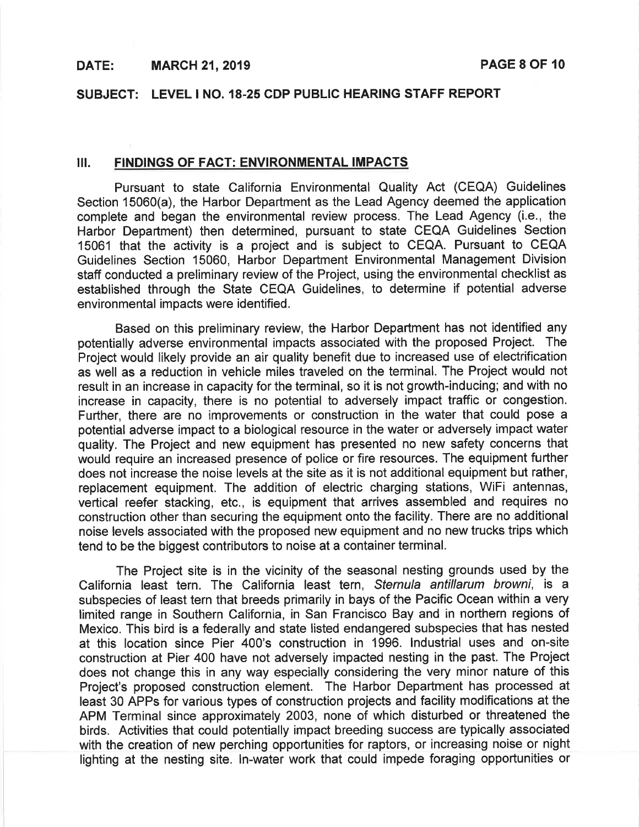## DATE: MARCH 21, 2019 **PAGE 8 OF 10**

## SUBJECT: LEVEL I NO. 18-25 CDP PUBLIC HEARING STAFF REPORT

### lll. FINDINGS OF FAGT: ENVIRONMENTAL IMPACTS

Pursuant to state California Environmental Quality Act (CEOA) Guidelines Section 15060(a), the Harbor Department as the Lead Agency deemed the application complete and began the environmental review process. The Lead Agency (i.e., the Harbor Department) then determined, pursuant to state CEQA Guidelines Section 15061 that the activity is a project and is subject to CEQA. Pursuant to CEQA Guidelines Section 15060, Harbor Department Environmental Management Division staff conducted a preliminary review of the Project, using the environmental checklist as established through the State CEQA Guidelines, to determine if potential adverse environmental impacts were identified.

Based on this preliminary review, the Harbor Department has not identified any potentially adverse environmental impacts associated with the proposed Project. The Project would likely provide an air quality benefit due to increased use of electrification as well as a reduction in vehicle miles traveled on the terminal. The Project would not result in an increase in capacity for the terminal, so it is not growth-inducing; and with no increase in capacity, there is no potential to adversely impact traffic or congestion. Further, there are no improvements or construction in the water that could pose <sup>a</sup> potential adverse impact to a biological resource in the water or adversely impact water quality. The Project and new equipment has presented no new safety concerns that would require an increased presence of police or fire resources. The equipment further does not increase the noise levels at the site as it is not additional equipment but rather, replacement equipment. The addition of electric charging stations, WiFi antennas, vertical reefer stacking, etc., is equipment that arrives assembled and requires no construction other than securing the equipment onto the facility. There are no additional noise levels associated with the proposed new equipment and no new trucks trips which tend to be the biggest contributors to noise at a container terminal.

The Project site is in the vicinity of the seasonal nesting grounds used by the California least tern. The California least tern, Sternula antillarum browni, is a subspecies of least tern that breeds primarily in bays of the Pacific Ocean within a very limited range in Southern California, in San Francisco Bay and in northern regions of Mexico. This bird is a federally and state listed endangered subspecies that has nested at this location since Pier 400's construction in 1996. lndustrial uses and on-site construction at Pier 400 have not adversely impacted nesting in the past. The Project does not change this in any way especially considering the very minor nature of this Project's proposed construction element. The Harbor Department has processed at least 30 APPs for various types of construction projects and facility modifications at the APM Terminal since approximately 2003, none of which disturbed or threatened the birds. Activities that could potentially impact breeding success are typically associated with the creation of new perching opportunities for raptors, or increasing noise or night lighting at the nesting site. ln-water work that could impede foraging opportunities or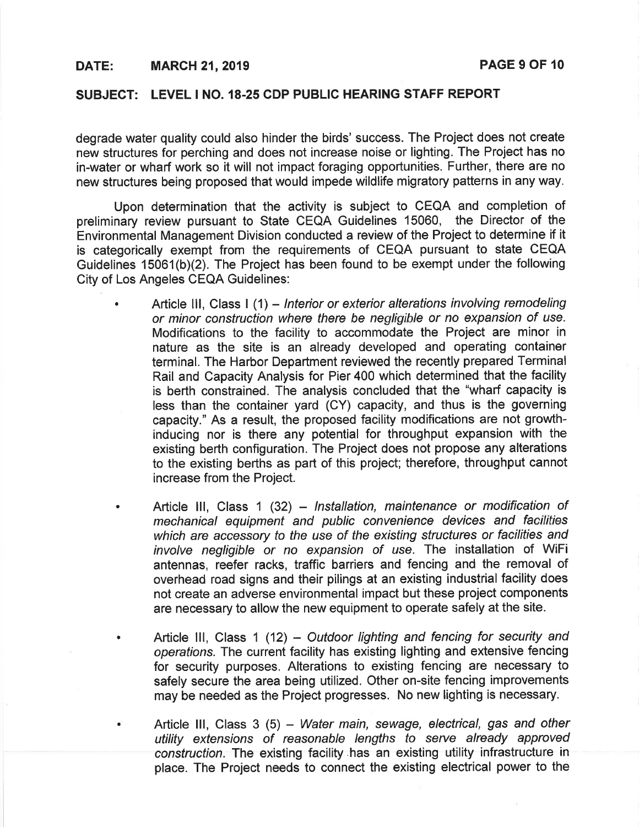## DATE: MARCH 21,2019 PAGE 9 OF <sup>10</sup>

# SUBJECT: LEVEL I NO. 18-25 CDP PUBLIC HEARING STAFF REPORT

degrade water quality could also hinder the birds' success. The Project does not create new structures for perching and does not increase noise or lighting. The Project has no in-water or wharf work so it will not impact foraging opportunities. Further, there are no new structures being proposed that would impede wildlife migratory patterns in any way.

Upon determination that the activity is subject to CEQA and completion of preliminary review pursuant to State CEQA Guidelines 15060, the Director of the Environmental Management Division conducted a review of the Project to determine if it is categorically exempt from the requirements of CEQA pursuant to state CEQA Guidelines  $15061(b)(2)$ . The Project has been found to be exempt under the following City of Los Angeles CEQA Guidelines:

- Article III, Class I (1) Interior or exterior alterations involving remodeling or minor construction where there be negligible or no expansion of use. Modifications to the facility to accommodate the Project are minor in nature as the site is an already developed and operating container terminal. The Harbor Department reviewed the recently prepared Terminal Rail and Capacity Analysis for Pier 400 which determined that the facility is berth constrained. The analysis concluded that the "wharf capacity is less than the container yard (CY) capacity, and thus is the governing capacity." As a result, the proposed facility modifications are not growthinducing nor is there any potential for throughput expansion with the existing berth configuration. The Project does not propose any alterations to the existing berths as part of this project; therefore, throughput cannot increase from the Project.
- Article III, Class 1 (32) Installation, maintenance or modification of mechanical equipment and public convenience devices and facilities which are accessory to the use of the existing structures or facilities and involve negligible or no expansion of use. The installation of WiFi antennas, reefer racks, traffic barriers and fencing and the removal of overhead road signs and their pilings at an existing industrial facility does not create an adverse environmental impact but these project components are necessary to allow the new equipment to operate safely at the site. a
- Article III, Class 1 (12) Outdoor lighting and fencing for security and operations. The current facility has existing lighting and extensive fencing for security purposes. Alterations to existing fencing are necessary to safely secure the area being utilized. Other on-site fencing improvements may be needed as the Project progresses. No new lighting is necessary.

Article III, Class 3  $(5)$  - Water main, sewage, electrical, gas and other utility extensions of reasonable lengths to serye already approved construction. The existing facility has an existing utility infrastructure in place. The Project needs to connect the existing electrical power to the a